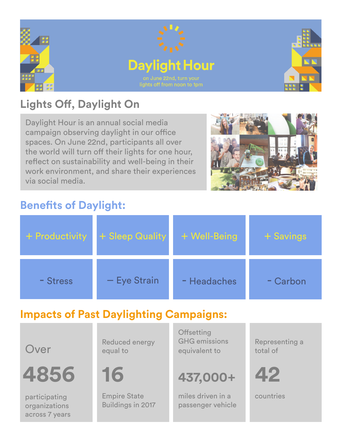

## **Lights Off, Daylight On**

Daylight Hour is an annual social media campaign observing daylight in our office spaces. On June 22nd, participants all over the world will turn off their lights for one hour, reflect on sustainability and well-being in their work environment, and share their experiences via social media.



### **Benefits of Daylight:**

| + Productivity | + Sleep Quality | + Well-Being | + Savings |
|----------------|-----------------|--------------|-----------|
| - Stress       | - Eye Strain    | - Headaches  | - Carbon  |

## **Impacts of Past Daylighting Campaigns:**

Over

**4856 42**

participating organizations across 7 years Reduced energy equal to

**16**

Empire State Buildings in 2017 **Offsetting** GHG emissions equivalent to

## **437,000+**

miles driven in a passenger vehicle Representing a total of



countries